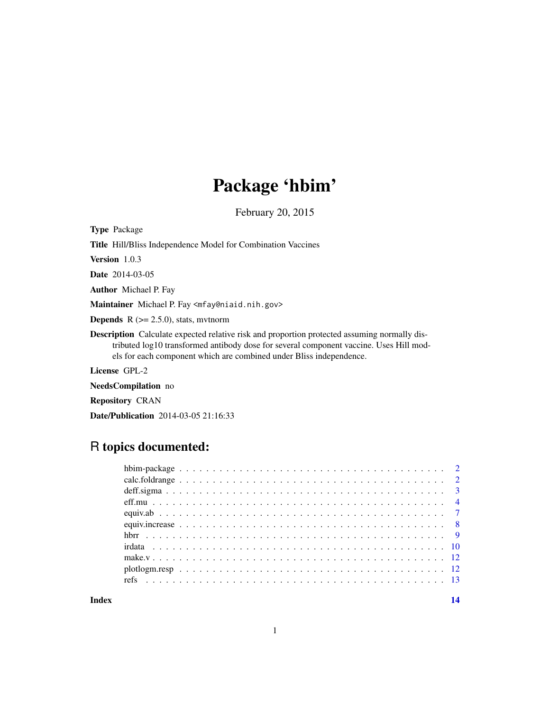## Package 'hbim'

February 20, 2015

<span id="page-0-0"></span>Type Package

Title Hill/Bliss Independence Model for Combination Vaccines

Version 1.0.3

Date 2014-03-05

Author Michael P. Fay

Maintainer Michael P. Fay <mfay@niaid.nih.gov>

**Depends**  $R$  ( $>= 2.5.0$ ), stats, mythorm

Description Calculate expected relative risk and proportion protected assuming normally distributed log10 transformed antibody dose for several component vaccine. Uses Hill models for each component which are combined under Bliss independence.

License GPL-2

NeedsCompilation no

Repository CRAN

Date/Publication 2014-03-05 21:16:33

## R topics documented:

**Index** 2008 **[14](#page-13-0)**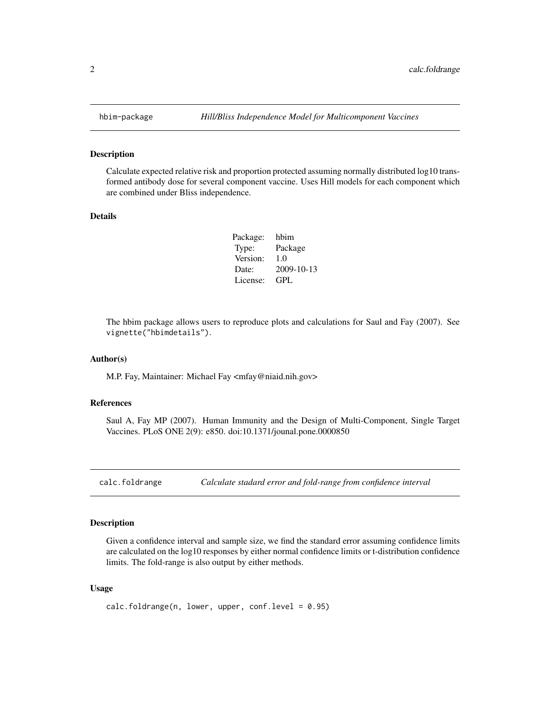Calculate expected relative risk and proportion protected assuming normally distributed log10 transformed antibody dose for several component vaccine. Uses Hill models for each component which are combined under Bliss independence.

#### Details

| Package: | hbim       |
|----------|------------|
| Type:    | Package    |
| Version: | 1.0        |
| Date:    | 2009-10-13 |
| License: | GPL.       |

The hbim package allows users to reproduce plots and calculations for Saul and Fay (2007). See vignette("hbimdetails").

#### Author(s)

M.P. Fay, Maintainer: Michael Fay <mfay@niaid.nih.gov>

#### References

Saul A, Fay MP (2007). Human Immunity and the Design of Multi-Component, Single Target Vaccines. PLoS ONE 2(9): e850. doi:10.1371/jounal.pone.0000850

calc.foldrange *Calculate stadard error and fold-range from confidence interval*

## Description

Given a confidence interval and sample size, we find the standard error assuming confidence limits are calculated on the log10 responses by either normal confidence limits or t-distribution confidence limits. The fold-range is also output by either methods.

#### Usage

```
calc.foldrange(n, lower, upper, conf.level = 0.95)
```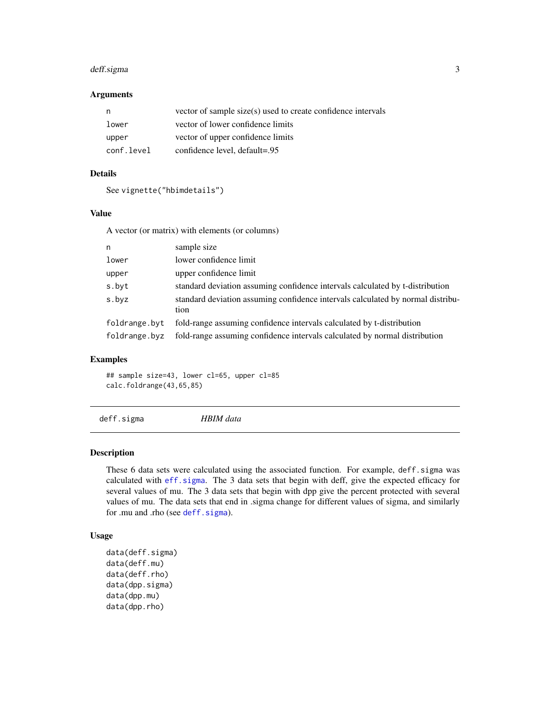## <span id="page-2-0"></span>deff.sigma 3

## Arguments

| n          | vector of sample size(s) used to create confidence intervals |
|------------|--------------------------------------------------------------|
| lower      | vector of lower confidence limits                            |
| upper      | vector of upper confidence limits                            |
| conf.level | confidence level, default=.95                                |

## Details

```
See vignette("hbimdetails")
```
## Value

A vector (or matrix) with elements (or columns)

| n             | sample size                                                                             |
|---------------|-----------------------------------------------------------------------------------------|
| lower         | lower confidence limit                                                                  |
| upper         | upper confidence limit                                                                  |
| s.byt         | standard deviation assuming confidence intervals calculated by t-distribution           |
| s.byz         | standard deviation assuming confidence intervals calculated by normal distribu-<br>tion |
| foldrange.byt | fold-range assuming confidence intervals calculated by t-distribution                   |
| foldrange.byz | fold-range assuming confidence intervals calculated by normal distribution              |

#### Examples

## sample size=43, lower cl=65, upper cl=85 calc.foldrange(43,65,85)

<span id="page-2-1"></span>deff.sigma *HBIM data*

#### <span id="page-2-2"></span>Description

These 6 data sets were calculated using the associated function. For example, deff.sigma was calculated with [eff.sigma](#page-3-1). The 3 data sets that begin with deff, give the expected efficacy for several values of mu. The 3 data sets that begin with dpp give the percent protected with several values of mu. The data sets that end in .sigma change for different values of sigma, and similarly for .mu and .rho (see [deff.sigma](#page-2-1)).

### Usage

```
data(deff.sigma)
data(deff.mu)
data(deff.rho)
data(dpp.sigma)
data(dpp.mu)
data(dpp.rho)
```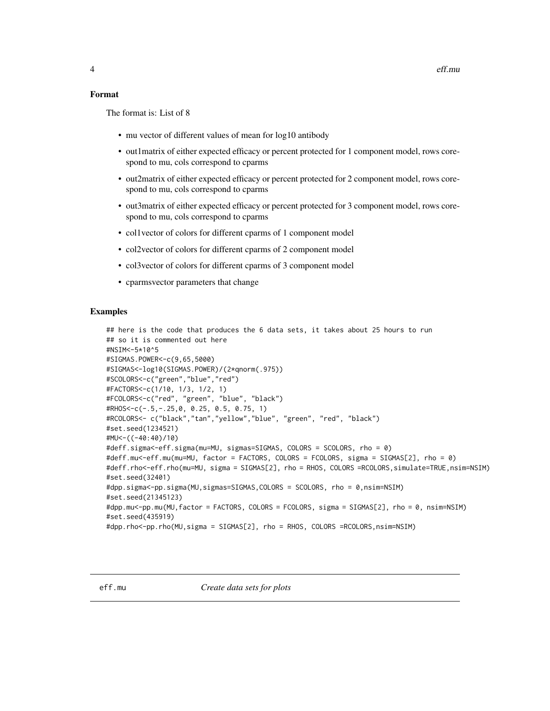## <span id="page-3-0"></span>Format

The format is: List of 8

- mu vector of different values of mean for log10 antibody
- out1matrix of either expected efficacy or percent protected for 1 component model, rows corespond to mu, cols correspond to cparms
- out2matrix of either expected efficacy or percent protected for 2 component model, rows corespond to mu, cols correspond to cparms
- out3matrix of either expected efficacy or percent protected for 3 component model, rows corespond to mu, cols correspond to cparms
- col1vector of colors for different cparms of 1 component model
- col2vector of colors for different cparms of 2 component model
- col3vector of colors for different cparms of 3 component model
- cparmsvector parameters that change

## Examples

```
## here is the code that produces the 6 data sets, it takes about 25 hours to run
## so it is commented out here
#NSIM<-5*10^5
#SIGMAS.POWER<-c(9,65,5000)
#SIGMAS<-log10(SIGMAS.POWER)/(2*qnorm(.975))
#SCOLORS<-c("green","blue","red")
#FACTORS<-c(1/10, 1/3, 1/2, 1)
#FCOLORS<-c("red", "green", "blue", "black")
#RHOS<-c(-.5,-.25,0, 0.25, 0.5, 0.75, 1)
#RCOLORS<- c("black","tan","yellow","blue", "green", "red", "black")
#set.seed(1234521)
#MU<-((-40:40)/10)
#deff.sigma<-eff.sigma(mu=MU, sigmas=SIGMAS, COLORS = SCOLORS, rho = 0)
#deff.mu<-eff.mu(mu=MU, factor = FACTORS, COLORS = FCOLORS, sigma = SIGMAS[2], rho = 0)
#deff.rho<-eff.rho(mu=MU, sigma = SIGMAS[2], rho = RHOS, COLORS =RCOLORS,simulate=TRUE,nsim=NSIM)
#set.seed(32401)
#dpp.sigma<-pp.sigma(MU,sigmas=SIGMAS,COLORS = SCOLORS, rho = 0,nsim=NSIM)
#set.seed(21345123)
#dpp.mu<-pp.mu(MU,factor = FACTORS, COLORS = FCOLORS, sigma = SIGMAS[2], rho = 0, nsim=NSIM)
#set.seed(435919)
#dpp.rho<-pp.rho(MU,sigma = SIGMAS[2], rho = RHOS, COLORS =RCOLORS,nsim=NSIM)
```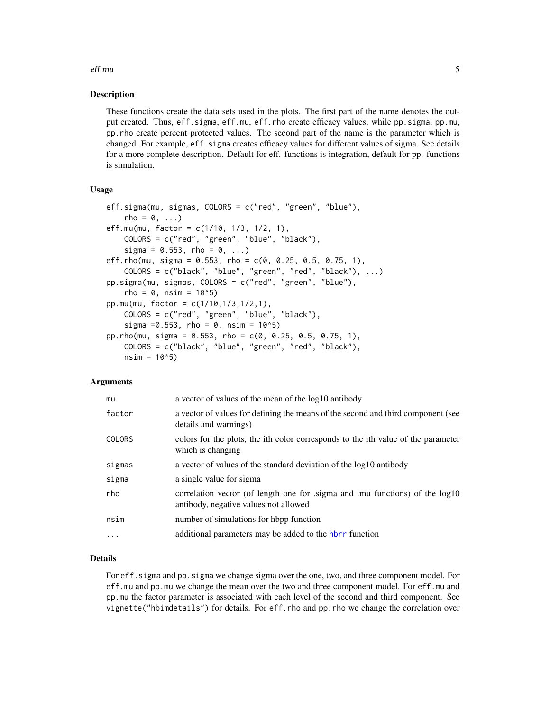#### <span id="page-4-0"></span>eff.mu 5

#### Description

These functions create the data sets used in the plots. The first part of the name denotes the output created. Thus, eff.sigma, eff.mu, eff.rho create efficacy values, while pp.sigma, pp.mu, pp.rho create percent protected values. The second part of the name is the parameter which is changed. For example, eff.sigma creates efficacy values for different values of sigma. See details for a more complete description. Default for eff. functions is integration, default for pp. functions is simulation.

#### Usage

```
eff.sigma(mu, sigmas, COLORS = c("red", "green", "blue"),
    rho = 0, \ldots)
eff.mu(mu, factor = c(1/10, 1/3, 1/2, 1),
    COLORS = c("red", "green", "blue", "black"),
    sigma = 0.553, rho = 0, ...)
eff.rho(mu, sigma = 0.553, rho = c(0, 0.25, 0.5, 0.75, 1),
    COLORS = c("black", "blue", "green", "red", "black"), ...)
pp.sigma(mu, sigmas, COLORS = c("red", "green", "blue"),
    rho = 0, nsim = 10<sup>0</sup>5pp.mu(mu, factor = c(1/10,1/3,1/2,1),
    COLORS = c("red", "green", "blue", "black"),
    sigma =0.553, rho = 0, nsim = 10^5)
pp.rho(mu, sigma = 0.553, rho = c(0, 0.25, 0.5, 0.75, 1),
    COLORS = c("black", "blue", "green", "red", "black"),
    nsim = 10<sup>0</sup>5
```
#### Arguments

| mu            | a vector of values of the mean of the log10 antibody                                                                 |
|---------------|----------------------------------------------------------------------------------------------------------------------|
| factor        | a vector of values for defining the means of the second and third component (see<br>details and warnings)            |
| <b>COLORS</b> | colors for the plots, the ith color corresponds to the ith value of the parameter<br>which is changing               |
| sigmas        | a vector of values of the standard deviation of the log10 antibody                                                   |
| sigma         | a single value for sigma                                                                                             |
| rho           | correlation vector (of length one for sigma and .mu functions) of the log10<br>antibody, negative values not allowed |
| nsim          | number of simulations for hbpp function                                                                              |
| .             | additional parameters may be added to the hbrr function                                                              |
|               |                                                                                                                      |

#### Details

For eff. sigma and pp. sigma we change sigma over the one, two, and three component model. For eff.mu and pp.mu we change the mean over the two and three component model. For eff.mu and pp.mu the factor parameter is associated with each level of the second and third component. See vignette("hbimdetails") for details. For eff.rho and pp.rho we change the correlation over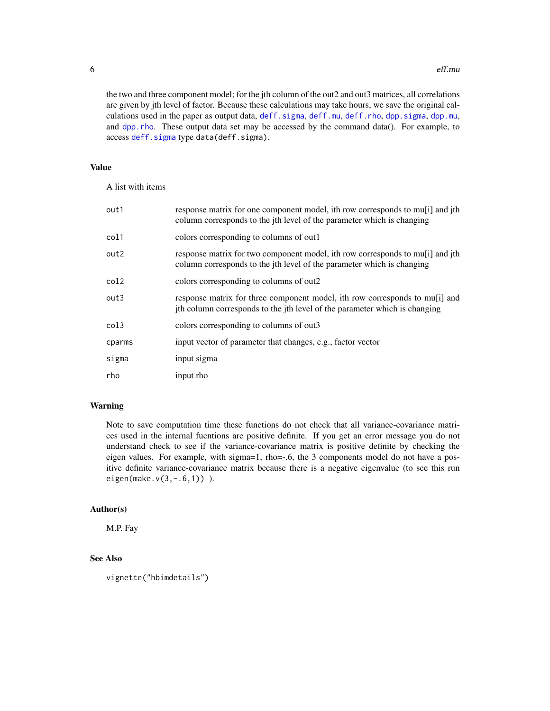the two and three component model; for the jth column of the out2 and out3 matrices, all correlations are given by jth level of factor. Because these calculations may take hours, we save the original calculations used in the paper as output data, deff. sigma, [deff.mu](#page-2-2), deff. rho, [dpp.sigma](#page-2-2), [dpp.mu](#page-2-2), and [dpp.rho](#page-2-2). These output data set may be accessed by the command data(). For example, to access [deff.sigma](#page-2-1) type data(deff.sigma).

## Value

A list with items

| out1   | response matrix for one component model, ith row corresponds to mu <sup>[1]</sup> and jth<br>column corresponds to the jth level of the parameter which is changing |
|--------|---------------------------------------------------------------------------------------------------------------------------------------------------------------------|
| col1   | colors corresponding to columns of out1                                                                                                                             |
| out2   | response matrix for two component model, ith row corresponds to mu <sup>[1]</sup> and jth<br>column corresponds to the jth level of the parameter which is changing |
| col2   | colors corresponding to columns of out2                                                                                                                             |
| out3   | response matrix for three component model, ith row corresponds to multi and<br>jth column corresponds to the jth level of the parameter which is changing           |
| col3   | colors corresponding to columns of out3                                                                                                                             |
| cparms | input vector of parameter that changes, e.g., factor vector                                                                                                         |
| sigma  | input sigma                                                                                                                                                         |
| rho    | input rho                                                                                                                                                           |

## Warning

Note to save computation time these functions do not check that all variance-covariance matrices used in the internal fucntions are positive definite. If you get an error message you do not understand check to see if the variance-covariance matrix is positive definite by checking the eigen values. For example, with sigma=1, rho=-.6, the 3 components model do not have a positive definite variance-covariance matrix because there is a negative eigenvalue (to see this run eigen(make.v(3,-.6,1)) ).

## Author(s)

M.P. Fay

## See Also

vignette("hbimdetails")

<span id="page-5-0"></span>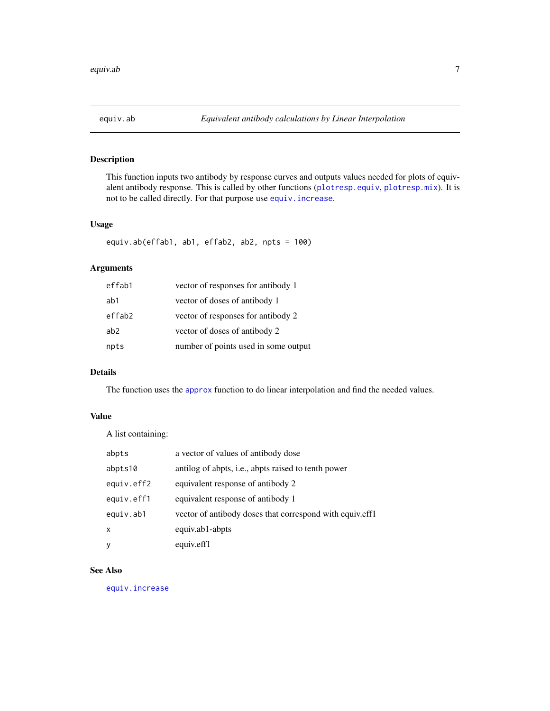<span id="page-6-0"></span>

This function inputs two antibody by response curves and outputs values needed for plots of equivalent antibody response. This is called by other functions ([plotresp.equiv](#page-11-1), [plotresp.mix](#page-11-1)). It is not to be called directly. For that purpose use [equiv.increase](#page-7-1).

#### Usage

```
equiv.ab(effab1, ab1, effab2, ab2, npts = 100)
```
## Arguments

| effab1 | vector of responses for antibody 1   |
|--------|--------------------------------------|
| ab1    | vector of doses of antibody 1        |
| effab2 | vector of responses for antibody 2   |
| ab2    | vector of doses of antibody 2        |
| npts   | number of points used in some output |

## Details

The function uses the [approx](#page-0-0) function to do linear interpolation and find the needed values.

## Value

A list containing:

| abpts        | a vector of values of antibody dose                      |
|--------------|----------------------------------------------------------|
| abpts10      | antilog of abpts, i.e., abpts raised to tenth power      |
| equiv.eff2   | equivalent response of antibody 2                        |
| equiv.eff1   | equivalent response of antibody 1                        |
| equiv.ab1    | vector of antibody doses that correspond with equiv.eff1 |
| $\mathsf{x}$ | equiv.ab1-abpts                                          |
| У            | equiv.eff1                                               |

### See Also

[equiv.increase](#page-7-1)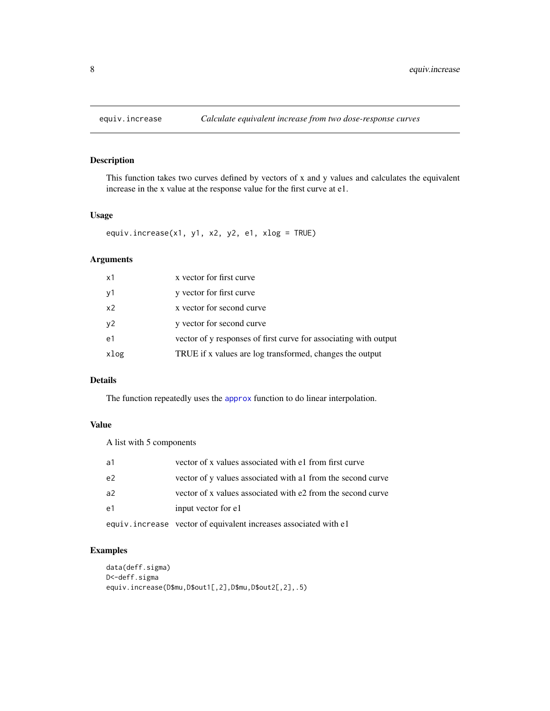<span id="page-7-1"></span><span id="page-7-0"></span>

This function takes two curves defined by vectors of x and y values and calculates the equivalent increase in the x value at the response value for the first curve at e1.

#### Usage

equiv.increase(x1, y1, x2, y2, e1, xlog = TRUE)

## Arguments

| x1             | x vector for first curve                                         |
|----------------|------------------------------------------------------------------|
| y1             | y vector for first curve                                         |
| x <sub>2</sub> | x vector for second curve                                        |
| y2             | y vector for second curve                                        |
| e1             | vector of y responses of first curve for associating with output |
| xlog           | TRUE if x values are log transformed, changes the output         |

## Details

The function repeatedly uses the [approx](#page-0-0) function to do linear interpolation.

## Value

A list with 5 components

| a1             | vector of x values associated with e1 from first curve           |
|----------------|------------------------------------------------------------------|
| e <sub>2</sub> | vector of y values associated with a 1 from the second curve     |
| a <sup>2</sup> | vector of x values associated with e2 from the second curve      |
| e1             | input vector for e1                                              |
|                | equiv.increase vector of equivalent increases associated with e1 |

## Examples

```
data(deff.sigma)
D<-deff.sigma
equiv.increase(D$mu,D$out1[,2],D$mu,D$out2[,2],.5)
```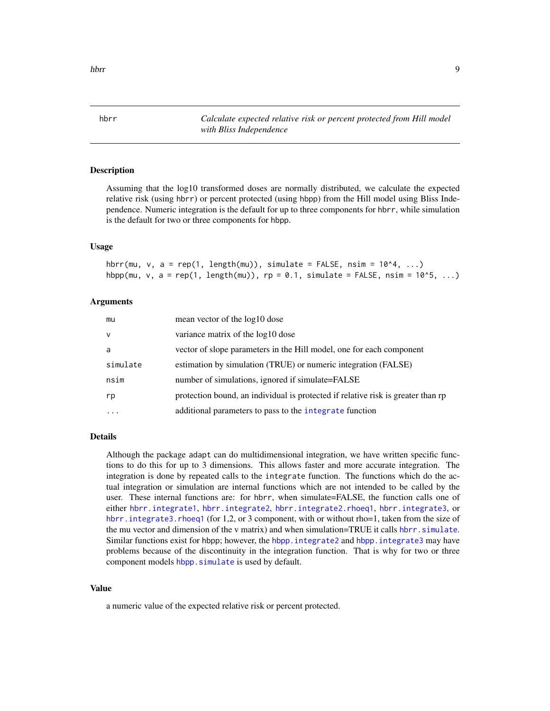<span id="page-8-1"></span><span id="page-8-0"></span>hbrr *Calculate expected relative risk or percent protected from Hill model with Bliss Independence*

#### **Description**

Assuming that the log10 transformed doses are normally distributed, we calculate the expected relative risk (using hbrr) or percent protected (using hbpp) from the Hill model using Bliss Independence. Numeric integration is the default for up to three components for hbrr, while simulation is the default for two or three components for hbpp.

#### Usage

hbrr(mu, v, a = rep(1, length(mu)), simulate = FALSE, nsim =  $10^4$ , ...) hbpp(mu, v, a = rep(1, length(mu)), rp = 0.1, simulate = FALSE, nsim =  $10^5$ , ...)

#### Arguments

| mu        | mean vector of the log10 dose                                                    |
|-----------|----------------------------------------------------------------------------------|
| v         | variance matrix of the log10 dose                                                |
| a         | vector of slope parameters in the Hill model, one for each component             |
| simulate  | estimation by simulation (TRUE) or numeric integration (FALSE)                   |
| nsim      | number of simulations, ignored if simulate=FALSE                                 |
| rp        | protection bound, an individual is protected if relative risk is greater than rp |
| $\ddotsc$ | additional parameters to pass to the integrate function                          |

#### Details

Although the package adapt can do multidimensional integration, we have written specific functions to do this for up to 3 dimensions. This allows faster and more accurate integration. The integration is done by repeated calls to the integrate function. The functions which do the actual integration or simulation are internal functions which are not intended to be called by the user. These internal functions are: for hbrr, when simulate=FALSE, the function calls one of either [hbrr.integrate1](#page-0-0), [hbrr.integrate2](#page-0-0), [hbrr.integrate2.rhoeq1](#page-0-0), [hbrr.integrate3](#page-0-0), or hbrr. integrate3. rhoeq1 (for 1,2, or 3 component, with or without rho=1, taken from the size of the mu vector and dimension of the v matrix) and when simulation=TRUE it calls [hbrr.simulate](#page-0-0). Similar functions exist for hbpp; however, the [hbpp.integrate2](#page-0-0) and [hbpp.integrate3](#page-0-0) may have problems because of the discontinuity in the integration function. That is why for two or three component models hbpp. simulate is used by default.

## Value

a numeric value of the expected relative risk or percent protected.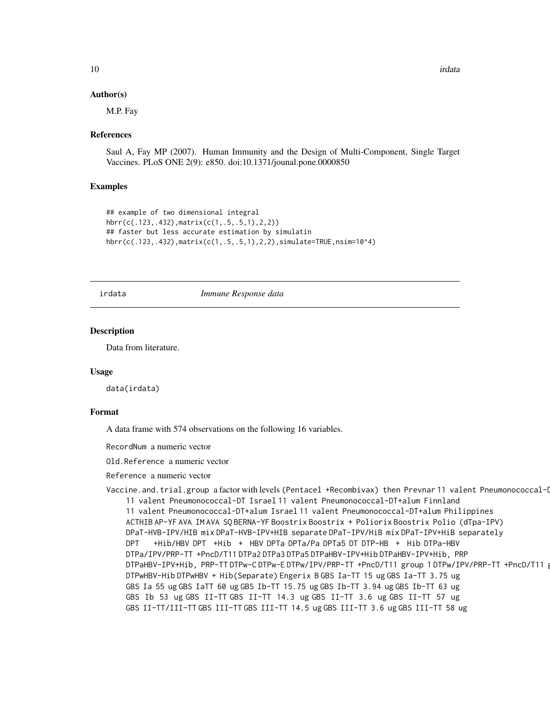#### Author(s)

M.P. Fay

#### References

Saul A, Fay MP (2007). Human Immunity and the Design of Multi-Component, Single Target Vaccines. PLoS ONE 2(9): e850. doi:10.1371/jounal.pone.0000850

#### Examples

```
## example of two dimensional integral
hbrr(c(.123,.432),matrix(c(1,.5,.5,1),2,2))
## faster but less accurate estimation by simulatin
hbrr(c(.123,.432),matrix(c(1,.5,.5,1),2,2),simulate=TRUE,nsim=10^4)
```
irdata *Immune Response data*

#### **Description**

Data from literature.

#### Usage

data(irdata)

#### Format

A data frame with 574 observations on the following 16 variables.

RecordNum a numeric vector

Old.Reference a numeric vector

Reference a numeric vector

Vaccine.and.trial.group a factor with levels (Pentacel +Recombivax) then Prevnar 11 valent Pneumonococcal-I 11 valent Pneumonococcal-DT Israel 11 valent Pneumonococcal-DT+alum Finnland 11 valent Pneumonococcal-DT+alum Israel 11 valent Pneumonococcal-DT+alum Philippines ACTHIB AP-YF AVA IM AVA SQ BERNA-YF Boostrix Boostrix + Poliorix Boostrix Polio (dTpa-IPV) DPaT-HVB-IPV/HIB mix DPaT-HVB-IPV+HIB separate DPaT-IPV/HiB mix DPaT-IPV+HiB separately DPT +Hib/HBV DPT +Hib + HBV DPTa DPTa/Pa DPTa5 DT DTP-HB + Hib DTPa-HBV DTPa/IPV/PRP-TT +PncD/T11 DTPa2 DTPa3 DTPa5 DTPaHBV-IPV+Hib DTPaHBV-IPV+Hib, PRP DTPaHBV-IPV+Hib, PRP-TT DTPw-C DTPw-E DTPw/IPV/PRP-TT +PncD/T11 group 1 DTPw/IPV/PRP-TT +PncD/T11 group 2 DTPwHBV-Hib DTPwHBV + Hib(Separate) Engerix B GBS Ia-TT 15 ug GBS Ia-TT 3.75 ug GBS Ia 55 ug GBS IaTT 60 ug GBS Ib-TT 15.75 ug GBS Ib-TT 3.94 ug GBS Ib-TT 63 ug GBS Ib 53 ug GBS II-TT GBS II-TT 14.3 ug GBS II-TT 3.6 ug GBS II-TT 57 ug GBS II-TT/III-TT GBS III-TT GBS III-TT 14.5 ug GBS III-TT 3.6 ug GBS III-TT 58 ug

<span id="page-9-0"></span>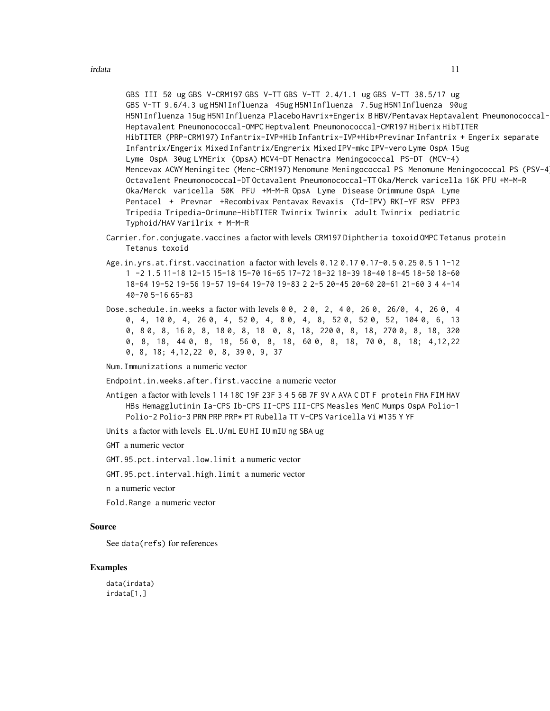GBS III 50 ug GBS V-CRM197 GBS V-TT GBS V-TT 2.4/1.1 ug GBS V-TT 38.5/17 ug GBS V-TT 9.6/4.3 ug H5N1Influenza 45ug H5N1Influenza 7.5ug H5N1Influenza 90ug H5N1Influenza 15ug H5N1Influenza Placebo Havrix+Engerix B HBV/Pentavax Heptavalent Pneumonococcal-CMR197 Heptavalent Pneumonococcal-OMPC Heptvalent Pneumonococcal-CMR197 Hiberix HibTITER HibTITER (PRP-CRM197) Infantrix-IVP+Hib Infantrix-IVP+Hib+Previnar Infantrix + Engerix separate Infantrix/Engerix Mixed Infantrix/Engrerix Mixed IPV-mkc IPV-vero Lyme OspA 15ug Lyme OspA 30ug LYMErix (OpsA) MCV4-DT Menactra Meningococcal PS-DT (MCV-4) Mencevax ACWY Meningitec (Menc-CRM197) Menomune Meningococcal PS Menomune Meningococcal PS (PSV-4) Octavalent Pneumonococcal-DT Octavalent Pneumonococcal-TT Oka/Merck varicella 16K PFU +M-M-R Oka/Merck varicella 50K PFU +M-M-R OpsA Lyme Disease Orimmune OspA Lyme Pentacel + Prevnar +Recombivax Pentavax Revaxis (Td-IPV) RKI-YF RSV PFP3 Tripedia Tripedia-Orimune-HibTITER Twinrix Twinrix adult Twinrix pediatric Typhoid/HAV Varilrix + M-M-R

- Carrier.for.conjugate.vaccines a factor with levels CRM197 Diphtheria toxoid OMPC Tetanus protein Tetanus toxoid
- Age.in.yrs.at.first.vaccination a factor with levels 0.12 0.17 0.17-0.5 0.25 0.5 1 1-12 1 -2 1.5 11-18 12-15 15-18 15-70 16-65 17-72 18-32 18-39 18-40 18-45 18-50 18-60 18-64 19-52 19-56 19-57 19-64 19-70 19-83 2 2-5 20-45 20-60 20-61 21-60 3 4 4-14 40-70 5-16 65-83
- Dose.schedule.in.weeks a factor with levels 0 0, 2 0, 2, 4 0, 26 0, 26/0, 4, 26 0, 4 0, 4, 10 0, 4, 26 0, 4, 52 0, 4, 8 0, 4, 8, 52 0, 52 0, 52, 104 0, 6, 13 0, 8 0, 8, 16 0, 8, 18 0, 8, 18 0, 8, 18, 220 0, 8, 18, 270 0, 8, 18, 320 0, 8, 18, 44 0, 8, 18, 56 0, 8, 18, 60 0, 8, 18, 70 0, 8, 18; 4,12,22 0, 8, 18; 4,12,22 0, 8, 39 0, 9, 37

Num.Immunizations a numeric vector

Endpoint.in.weeks.after.first.vaccine a numeric vector

- Antigen a factor with levels 1 14 18C 19F 23F 3 4 5 6B 7F 9V A AVA C DT F protein FHA FIM HAV HBs Hemagglutinin Ia-CPS Ib-CPS II-CPS III-CPS Measles MenC Mumps OspA Polio-1 Polio-2 Polio-3 PRN PRP PRP\* PT Rubella TT V-CPS Varicella Vi W135 Y YF
- Units a factor with levels EL.U/mL EU HI IU mIU ng SBA ug
- GMT a numeric vector
- GMT.95.pct.interval.low.limit a numeric vector

GMT.95.pct.interval.high.limit a numeric vector

n a numeric vector

Fold.Range a numeric vector

#### Source

See data(refs) for references

#### Examples

data(irdata) irdata[1,]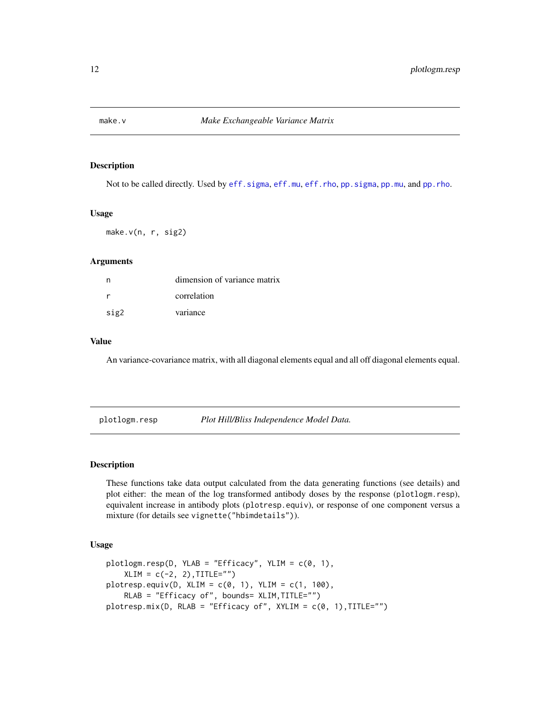<span id="page-11-0"></span>

Not to be called directly. Used by [eff.sigma](#page-3-1), [eff.mu](#page-3-2), [eff.rho](#page-3-1), [pp.sigma](#page-3-1), [pp.mu](#page-3-1), and [pp.rho](#page-3-1).

#### Usage

make.v(n, r, sig2)

## Arguments

|      | dimension of variance matrix |
|------|------------------------------|
|      | correlation                  |
| sig2 | variance                     |

## Value

An variance-covariance matrix, with all diagonal elements equal and all off diagonal elements equal.

plotlogm.resp *Plot Hill/Bliss Independence Model Data.*

## <span id="page-11-1"></span>Description

These functions take data output calculated from the data generating functions (see details) and plot either: the mean of the log transformed antibody doses by the response (plotlogm.resp), equivalent increase in antibody plots (plotresp.equiv), or response of one component versus a mixture (for details see vignette("hbimdetails")).

#### Usage

```
plotlogm.resp(D, YLAB = "Efficacy", YLIM = c(0, 1),
   XLIM = c(-2, 2), TITLE="")plotresp.equiv(v(0, xLIM = c(0, 1), YLIM = c(1, 100)),RLAB = "Efficacy of", bounds= XLIM, TITLE="")
plotresp.mix(D, RLAB = "Efficacy of", XYLIM = c(0, 1),TITLE="")
```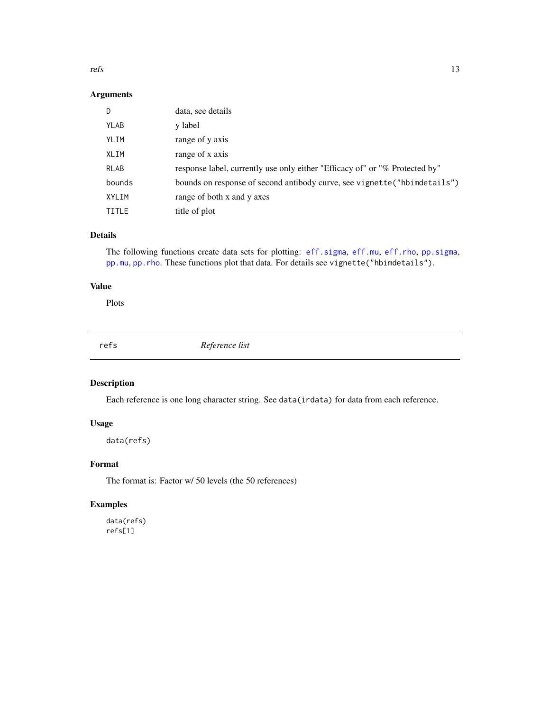<span id="page-12-0"></span>refs and the state of the state of the state of the state of the state of the state of the state of the state of the state of the state of the state of the state of the state of the state of the state of the state of the s

## Arguments

| D           | data, see details                                                           |
|-------------|-----------------------------------------------------------------------------|
| YLAB        | y label                                                                     |
| YLIM        | range of y axis                                                             |
| XLIM        | range of x axis                                                             |
| <b>RLAB</b> | response label, currently use only either "Efficacy of" or "% Protected by" |
| bounds      | bounds on response of second antibody curve, see vignette ("hbimdetails")   |
| XYLIM       | range of both x and y axes                                                  |
| TITLE       | title of plot                                                               |

## Details

The following functions create data sets for plotting: [eff.sigma](#page-3-1), [eff.mu](#page-3-2), [eff.rho](#page-3-1), [pp.sigma](#page-3-1), [pp.mu](#page-3-1), [pp.rho](#page-3-1). These functions plot that data. For details see vignette("hbimdetails").

## Value

Plots

refs *Reference list*

## Description

Each reference is one long character string. See data(irdata) for data from each reference.

## Usage

data(refs)

## Format

The format is: Factor w/ 50 levels (the 50 references)

## Examples

data(refs) refs[1]